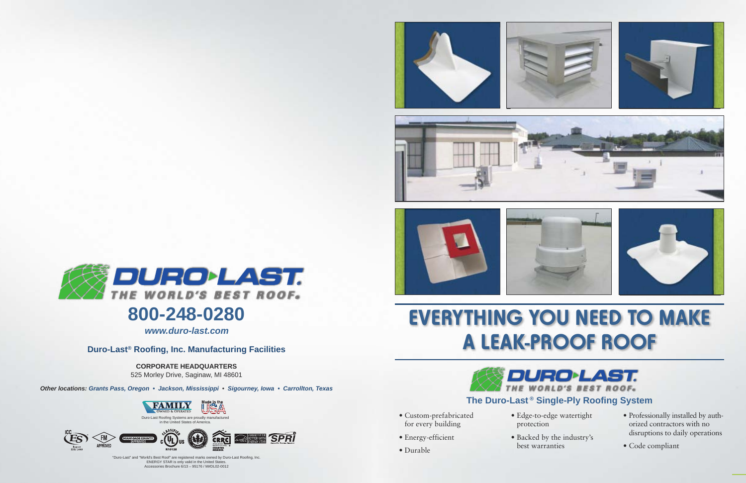**Duro-Last® Roofing, Inc. Manufacturing Facilities**

**CORPORATE HEADQUARTERS** 525 Morley Drive, Saginaw, MI 48601

*Other locations: Grants Pass, Oregon • Jackson, Mississippi* • *Sigourney, Iowa • Carrollton, Texas*



*www.duro-last.com*

"Duro-Last" and "World's Best Roof" are registered marks owned by Duro-Last Roofing, Inc. ENERGY STAR is only valid in the United States. Accessories Brochure 6/13 – 95176 / M#DL02-0012

**SPRI** 

**BETTER WITH** 











## **EVERYTHING YOU NEED TO MAKE A LEAK-PROOF ROOF**

- Custom-prefabricated for every building
- Energy-efficient
- Durable







- Edge-to-edge watertight protection
- Backed by the industry's
- Professionally installed by authorized contractors with no disruptions to daily operations
- Code compliant







## **800-248-0280**